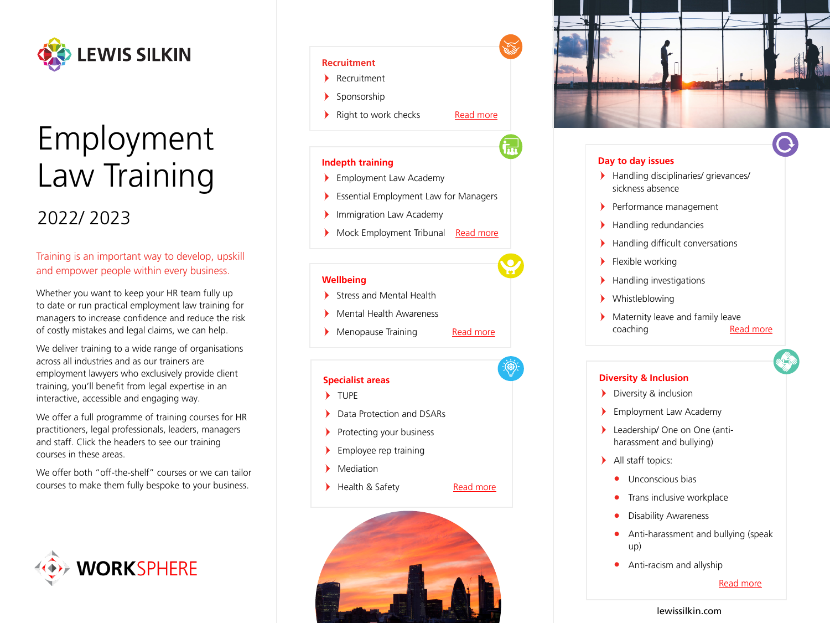

# Employment Law Training

## 2022/ 2023

### Training is an important way to develop, upskill and empower people within every business.

Whether you want to keep your HR team fully up to date or run practical employment law training for managers to increase confidence and reduce the risk of costly mistakes and legal claims, we can help.

We deliver training to a wide range of organisations across all industries and as our trainers are employment lawyers who exclusively provide client training, you'll benefit from legal expertise in an interactive, accessible and engaging way.

We offer a full programme of training courses for HR practitioners, legal professionals, leaders, managers and staff. Click the headers to see our training courses in these areas.

We offer both "off-the-shelf" courses or we can tailor courses to make them fully bespoke to your business.



#### **[Recruitment](https://sites-lewissilkin.vuturevx.com/98/1702/uploads/employment-law-training---recruitment.pdf)**

- Recruitment
- $\blacktriangleright$ Sponsorship
- lacktriangleright to work checks and [Read more](https://sites-lewissilkin.vuturevx.com/98/1702/uploads/employment-law-training---recruitment.pdf)
	-

İm

#### **[Indepth training](https://sites-lewissilkin.vuturevx.com/98/1702/uploads/employment-law-training---in-depth-training.pdf)**

- Employment Law Academy
- $\blacktriangleright$ Essential Employment Law for Managers
- $\blacktriangleright$ Immigration Law Academy
- Mock Employment Tribunal [Read more](https://sites-lewissilkin.vuturevx.com/98/1702/uploads/employment-law-training---in-depth-training.pdf)

#### **[Wellbeing](https://sites-lewissilkin.vuturevx.com/98/1702/uploads/employment-law-training---wellbeing.pdf)**

- Stress and Mental Health
- $\blacktriangleright$ Mental Health Awareness
- > Menopause Training [Read more](https://sites-lewissilkin.vuturevx.com/98/1702/uploads/employment-law-training---wellbeing.pdf)
	-

#### **[Specialist areas](https://sites-lewissilkin.vuturevx.com/98/1702/uploads/employment-law-training---specialist-areas.pdf)**

- TUPE
- $\blacktriangleright$ Data Protection and DSARs
- $\blacktriangleright$ Protecting your business
- $\blacktriangleright$ Employee rep training
- $\blacktriangleright$ Mediation
- Health & Safety [Read more](https://sites-lewissilkin.vuturevx.com/98/1702/uploads/employment-law-training---specialist-areas.pdf)
	-





#### **[Day to day issues](https://sites-lewissilkin.vuturevx.com/98/1702/uploads/employment-law-training---day-to-day-issues.pdf)**

- Handling disciplinaries/ grievances/ sickness absence
- Performance management
- Handling redundancies
- Handling difficult conversations
- $\blacktriangleright$  Flexible working
- Handling investigations
- Whistleblowing
- Maternity leave and family leave coaching [Read more](https://sites-lewissilkin.vuturevx.com/98/1702/uploads/employment-law-training---day-to-day-issues.pdf)

#### **[Diversity & Inclusion](https://sites-lewissilkin.vuturevx.com/98/1702/uploads/employment-law-training---diversity-and-inclusion.pdf)**

- **Diversity & inclusion**
- Employment Law Academy
- Leadership/ One on One (antiharassment and bullying)
- > All staff topics:
	- **•** Unconscious bias
	- **•** Trans inclusive workplace
	- **•** Disability Awareness
	- **•** Anti-harassment and bullying (speak up)
	- **•** Anti-racism and allyship

[Read more](https://sites-lewissilkin.vuturevx.com/98/1702/uploads/employment-law-training---diversity-and-inclusion.pdf)

#### [lewissilkin.com](https://www.lewissilkin.com/en/eir)